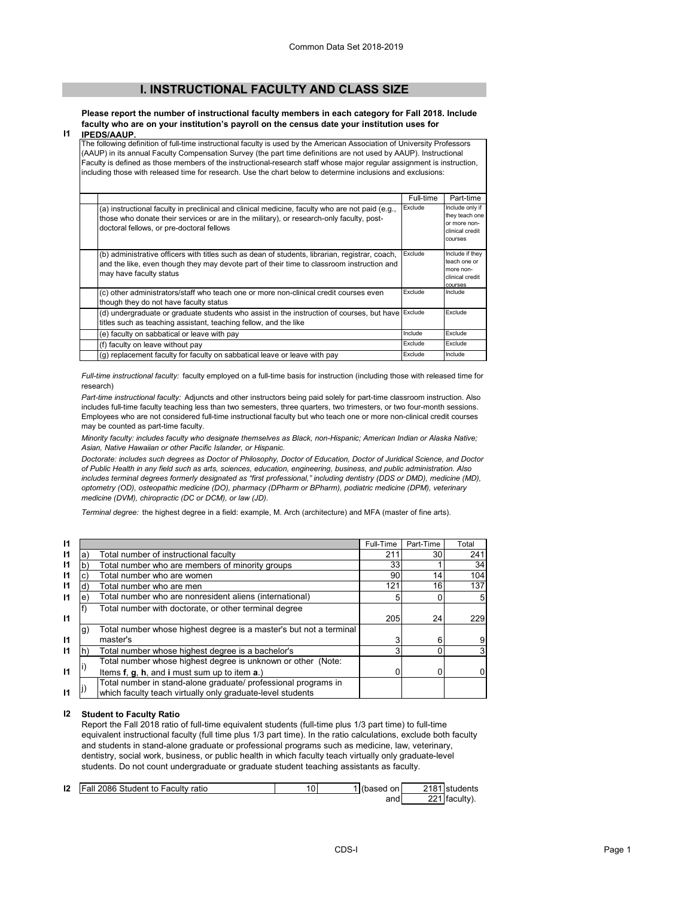## **I. INSTRUCTIONAL FACULTY AND CLASS SIZE**

**Please report the number of instructional faculty members in each category for Fall 2018. Include faculty who are on your institution's payroll on the census date your institution uses for IPEDS/AAUP.**

## **I1**

The following definition of full-time instructional faculty is used by the American Association of University Professors (AAUP) in its annual Faculty Compensation Survey (the part time definitions are not used by AAUP). Instructional Faculty is defined as those members of the instructional-research staff whose major regular assignment is instruction, including those with released time for research. Use the chart below to determine inclusions and exclusions:

|                                                                                                                                                                                                                                          | Full-time | Part-time                                                                       |  |  |  |  |  |
|------------------------------------------------------------------------------------------------------------------------------------------------------------------------------------------------------------------------------------------|-----------|---------------------------------------------------------------------------------|--|--|--|--|--|
| (a) instructional faculty in preclinical and clinical medicine, faculty who are not paid (e.g.,<br>those who donate their services or are in the military), or research-only faculty, post-<br>doctoral fellows, or pre-doctoral fellows | Exclude   | Include only if<br>they teach one<br>or more non-<br>clinical credit<br>courses |  |  |  |  |  |
| (b) administrative officers with titles such as dean of students, librarian, registrar, coach,<br>and the like, even though they may devote part of their time to classroom instruction and<br>may have faculty status                   | Exclude   | Include if they<br>teach one or<br>more non-<br>clinical credit<br>courses      |  |  |  |  |  |
| (c) other administrators/staff who teach one or more non-clinical credit courses even<br>though they do not have faculty status                                                                                                          | Exclude   | Include                                                                         |  |  |  |  |  |
| (d) undergraduate or graduate students who assist in the instruction of courses, but have Exclude<br>titles such as teaching assistant, teaching fellow, and the like                                                                    |           | Exclude                                                                         |  |  |  |  |  |
| (e) faculty on sabbatical or leave with pay                                                                                                                                                                                              | Include   | Exclude                                                                         |  |  |  |  |  |
| (f) faculty on leave without pay                                                                                                                                                                                                         | Exclude   | Exclude                                                                         |  |  |  |  |  |
| (g) replacement faculty for faculty on sabbatical leave or leave with pay                                                                                                                                                                | Exclude   | Include                                                                         |  |  |  |  |  |

*Full-time instructional faculty:* faculty employed on a full-time basis for instruction (including those with released time for research)

*Part-time instructional faculty:* Adjuncts and other instructors being paid solely for part-time classroom instruction. Also includes full-time faculty teaching less than two semesters, three quarters, two trimesters, or two four-month sessions. Employees who are not considered full-time instructional faculty but who teach one or more non-clinical credit courses may be counted as part-time faculty.

*Minority faculty: includes faculty who designate themselves as Black, non-Hispanic; American Indian or Alaska Native; Asian, Native Hawaiian or other Pacific Islander, or Hispanic.* 

*Doctorate: includes such degrees as Doctor of Philosophy, Doctor of Education, Doctor of Juridical Science, and Doctor of Public Health in any field such as arts, sciences, education, engineering, business, and public administration. Also*  includes terminal degrees formerly designated as "first professional," including dentistry (DDS or DMD), medicine (MD), *optometry (OD), osteopathic medicine (DO), pharmacy (DPharm or BPharm), podiatric medicine (DPM), veterinary medicine (DVM), chiropractic (DC or DCM), or law (JD).*

*Terminal degree:* the highest degree in a field: example, M. Arch (architecture) and MFA (master of fine arts).

| 11           |    |                                                                    | Full-Time | Part-Time | Total |
|--------------|----|--------------------------------------------------------------------|-----------|-----------|-------|
| 11           | а  | Total number of instructional faculty                              | 211       | 30 I      | 241   |
| 11           |    | Total number who are members of minority groups                    | 33        |           | 34    |
| $\mathsf{I}$ |    | Total number who are women                                         | 90        | 14        | 104   |
| 11           |    | Total number who are men                                           | 121       | 16        | 137   |
| $\mathsf{I}$ | е  | Total number who are nonresident aliens (international)            |           |           |       |
|              |    | Total number with doctorate, or other terminal degree              |           |           |       |
| $\mathsf{I}$ |    |                                                                    | 205       | 24        | 229   |
|              | g) | Total number whose highest degree is a master's but not a terminal |           |           |       |
| 11           |    | master's                                                           |           | 6         |       |
| 11           |    | Total number whose highest degree is a bachelor's                  |           |           |       |
|              |    | Total number whose highest degree is unknown or other (Note:       |           |           |       |
| $\mathbf{I}$ |    | Items f, g, h, and i must sum up to item a.)                       |           | 0         |       |
|              |    | Total number in stand-alone graduate/ professional programs in     |           |           |       |
| 11           |    | which faculty teach virtually only graduate-level students         |           |           |       |

## **I2 Student to Faculty Ratio**

Report the Fall 2018 ratio of full-time equivalent students (full-time plus 1/3 part time) to full-time equivalent instructional faculty (full time plus 1/3 part time). In the ratio calculations, exclude both faculty and students in stand-alone graduate or professional programs such as medicine, law, veterinary, dentistry, social work, business, or public health in which faculty teach virtually only graduate-level students. Do not count undergraduate or graduate student teaching assistants as faculty.

| 12 | Fall 2086 Student to Faculty ratio | 4Λ<br>v | (based on | 2181 students |
|----|------------------------------------|---------|-----------|---------------|
|    |                                    |         | and       | 221 faculty). |